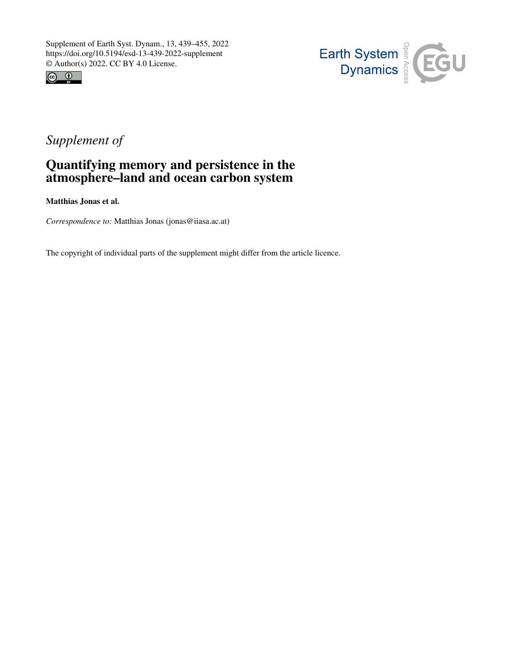



# *Supplement of*

# Quantifying memory and persistence in the atmosphere–land and ocean carbon system

Matthias Jonas et al.

*Correspondence to:* Matthias Jonas (jonas@iiasa.ac.at)

The copyright of individual parts of the supplement might differ from the article licence.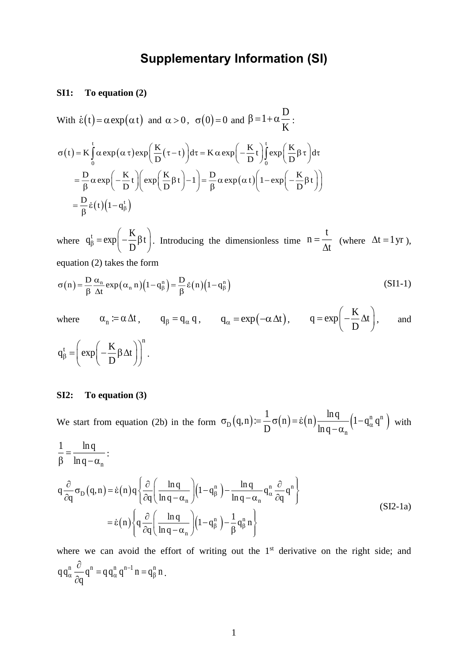# **Supplementary Information (SI)**

### **SI1: To equation (2)**

With  $\dot{\varepsilon}(t) = \alpha \exp(\alpha t)$  and  $\alpha > 0$ ,  $\sigma(0) = 0$  and D 1  $\beta = 1 + \alpha \frac{-}{K}$  $(t) = K \int \alpha \exp(\alpha \tau) \exp\left(\frac{K}{D}(\tau - t)\right) d\tau = K \alpha \exp\left(-\frac{K}{D}t\right)$  $=\frac{D}{\beta}\alpha \exp\left(-\frac{K}{D}t\right)\left(\exp\left(\frac{K}{D}\beta t\right)-1\right)=\frac{D}{\beta}\alpha \exp\left(\alpha t\right)\left(1-\exp\left(-\frac{K}{D}\beta t\right)\right)$  $=\frac{D}{\beta}\dot{\varepsilon}(t)(1-q_{\beta}^{t})$  $0$  and  $($  $\sigma(t) = K \int_{0}^{t} \alpha \exp(\alpha \tau) \exp\left(\frac{K}{D}(\tau - t)\right) d\tau = K \alpha \exp\left(-\frac{K}{D}t\right) \int_{0}^{t} \exp\left(\frac{K}{D}\beta \tau\right) d\tau$ 

where  $_{t}$   $_{cm}$  K  $q_\beta^t = exp\left(-\frac{K}{D}\beta t\right)$ . Introducing the dimensionless time t n t  $=\frac{1}{\Delta t}$  (where  $\Delta t = 1$  yr), equation (2) takes the form

$$
\sigma(n) = \frac{D}{\beta} \frac{\alpha_n}{\Delta t} \exp(\alpha_n n) (1 - q_\beta^n) = \frac{D}{\beta} \dot{\epsilon}(n) (1 - q_\beta^n)
$$
 (SI1-1)

where  $\alpha_n := \alpha \Delta t$ ,  $q_\beta = q_\alpha q$ ,  $q_\alpha = \exp(-\alpha \Delta t)$ ,  $q = \exp\left(-\frac{K}{D}\right)$  $q = exp \left(-\frac{\Delta t}{D}\right)$  $= \exp\left(-\frac{K}{D}\Delta t\right)$ and  $_{t}$   $\left( \begin{array}{c} \begin{array}{c} \end{array} & \begin{array}{c} \end{array} & \begin{array}{c} \end{array} & \begin{array}{c} \end{array} & \begin{array}{c} \end{array} & \end{array} \right) \end{array}$  $q_{\beta} = \left( \exp \left( -\frac{\beta}{D} \right) \right)$  $=\left(\exp\left(-\frac{K}{D}\beta\Delta t\right)\right)$ .

## **SI2: To equation (3)**

We start from equation (2b) in the form  $\sigma_{\text{D}}(q,n) = \frac{1}{D}\sigma(n) = \dot{\varepsilon}(n)\frac{\ln q}{\ln q - \alpha}(1-q_{\alpha}^n q^n)$ n  $\sigma_{\text{D}}(q,n) = \frac{}{\text{D}} \sigma(n) = \varepsilon(n) \frac{1}{\ln q - \alpha_n} \left(1 - q_{\alpha}^{\text{u}} q^{\text{u}}\right)$  with

$$
\frac{1}{\beta} = \frac{\ln q}{\ln q - \alpha_n} : \nq \frac{\partial}{\partial q} \sigma_D(q, n) = \dot{\epsilon}(n) q \left\{ \frac{\partial}{\partial q} \left( \frac{\ln q}{\ln q - \alpha_n} \right) \left( 1 - q_\beta^n \right) - \frac{\ln q}{\ln q - \alpha_n} q_\alpha^n \frac{\partial}{\partial q} q^n \right\} \n= \dot{\epsilon}(n) \left\{ q \frac{\partial}{\partial q} \left( \frac{\ln q}{\ln q - \alpha_n} \right) \left( 1 - q_\beta^n \right) - \frac{1}{\beta} q_\beta^n n \right\}
$$
\n(SI2-1a)

where we can avoid the effort of writing out the 1<sup>st</sup> derivative on the right side; and  $q q_\alpha^n \frac{C}{2} q^n = q q_\alpha^n q^{n-1} n = q_\beta^n n$ q  $\frac{d}{d\alpha}$   $\frac{d}{d\alpha}$  q<sup>n</sup> = q q<sup>n</sup> q<sup>n-1</sup> n = q<sup>n</sup> д  $\frac{1}{\partial q}q^{n}=q q_{\alpha}^{n}q^{n}$  in  $=q_{\beta}^{n}$  n.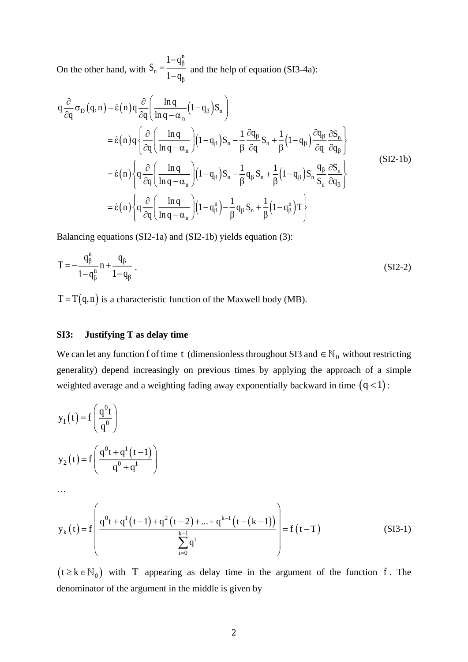On the other hand, with n n  $S_n = \frac{1-q}{n}$ 1 – q β β  $=\frac{1-q_{\beta}}{1-q_{\beta}}$  and the help of equation (SI3-4a):

$$
q \frac{\partial}{\partial q} \sigma_{D} (q, n) = \dot{\epsilon}(n) q \frac{\partial}{\partial q} \left( \frac{\ln q}{\ln q - \alpha_{n}} (1 - q_{\beta}) S_{n} \right)
$$
  
\n
$$
= \dot{\epsilon}(n) q \left\{ \frac{\partial}{\partial q} \left( \frac{\ln q}{\ln q - \alpha_{n}} \right) (1 - q_{\beta}) S_{n} - \frac{1}{\beta} \frac{\partial q_{\beta}}{\partial q} S_{n} + \frac{1}{\beta} (1 - q_{\beta}) \frac{\partial q_{\beta}}{\partial q} \frac{\partial S_{n}}{\partial q_{\beta}} \right\}
$$
  
\n
$$
= \dot{\epsilon}(n) \left\{ q \frac{\partial}{\partial q} \left( \frac{\ln q}{\ln q - \alpha_{n}} \right) (1 - q_{\beta}) S_{n} - \frac{1}{\beta} q_{\beta} S_{n} + \frac{1}{\beta} (1 - q_{\beta}) S_{n} \frac{q_{\beta}}{S_{n}} \frac{\partial S_{n}}{\partial q_{\beta}} \right\}
$$
  
\n
$$
= \dot{\epsilon}(n) \left\{ q \frac{\partial}{\partial q} \left( \frac{\ln q}{\ln q - \alpha_{n}} \right) (1 - q_{\beta}^{n}) - \frac{1}{\beta} q_{\beta} S_{n} + \frac{1}{\beta} (1 - q_{\beta}^{n}) T \right\}
$$
  
\n(SI2-1b)

Balancing equations (SI2-1a) and (SI2-1b) yields equation (3):

$$
T = -\frac{q_{\beta}^{n}}{1 - q_{\beta}^{n}} n + \frac{q_{\beta}}{1 - q_{\beta}}.
$$
 (SI2-2)

 $T = T(q,n)$  is a characteristic function of the Maxwell body (MB).

## **SI3: Justifying T as delay time**

We can let any function f of time t (dimensionless throughout SI3 and  $\in \mathbb{N}_0$  without restricting generality) depend increasingly on previous times by applying the approach of a simple weighted average and a weighting fading away exponentially backward in time  $(q<1)$ :

$$
y_1(t) = f\left(\frac{q^0t}{q^0}\right)
$$
  
\n
$$
y_2(t) = f\left(\frac{q^0t + q^1(t-1)}{q^0 + q^1}\right)
$$
  
\n...\n
$$
y_k(t) = f\left(\frac{q^0t + q^1(t-1) + q^2(t-2) + ... + q^{k-1}(t-(k-1))}{\frac{k-1}{k}}\right) = f(t-T)
$$
\n(SI3-1)

i

q

 $\sum_{i=0} q^i$ 

 $i = 0$ 

 $(t \ge k \in N_0)$  with T appearing as delay time in the argument of the function f. The denominator of the argument in the middle is given by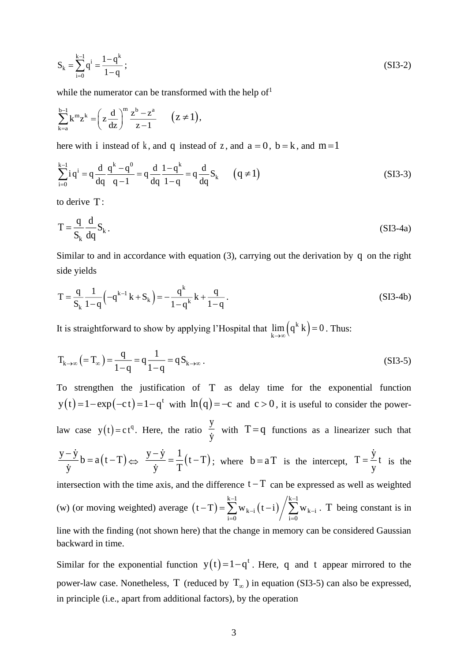$$
S_k = \sum_{i=0}^{k-1} q^i = \frac{1-q^k}{1-q} ; \tag{SI3-2}
$$

while the numerator can be transformed with the help of  $1$ 

$$
\sum_{k=a}^{b-1} k^m z^k = \left(z \frac{d}{dz}\right)^m \frac{z^b - z^a}{z - 1} \qquad (z \neq 1),
$$

here with i instead of k, and q instead of z, and  $a = 0$ ,  $b = k$ , and  $m = 1$ 

$$
\sum_{i=0}^{k-1} i q^{i} = q \frac{d}{dq} \frac{q^{k} - q^{0}}{q - 1} = q \frac{d}{dq} \frac{1 - q^{k}}{1 - q} = q \frac{d}{dq} S_{k} \qquad (q \neq 1)
$$
\n(SI3-3)

to derive T :

$$
T = \frac{q}{S_k} \frac{d}{dq} S_k.
$$
 (SI3-4a)

Similar to and in accordance with equation (3), carrying out the derivation by q on the right side yields

$$
T = \frac{q}{S_k} \frac{1}{1-q} \left( -q^{k-1} k + S_k \right) = -\frac{q^k}{1-q^k} k + \frac{q}{1-q}.
$$
 (SI3-4b)

It is straightforward to show by applying l'Hospital that  $\lim_{k \to \infty} (q^k k)$  $\lim_{k\to\infty} (q^k k) = 0$  $= 0$  . Thus:

$$
T_{k \to \infty} ( = T_{\infty} ) = \frac{q}{1 - q} = q \frac{1}{1 - q} = q S_{k \to \infty} .
$$
 (SI3-5)

To strengthen the justification of T as delay time for the exponential function  $y(t) = 1 - exp(-ct) = 1 - q^{t}$  with  $ln(q) = -c$  and  $c > 0$ , it is useful to consider the powerlaw case  $y(t) = ct^q$ . Here, the ratio y y with  $T = q$  functions as a linearizer such that  $\frac{y-y}{y}$  b = a (t-T) y  $\frac{-y}{\hbar}b = a(t-T) \Leftrightarrow \frac{y-y}{\hbar} = \frac{1}{T}(t-T)$ y T  $\frac{y}{y} = \frac{1}{x} (t - T);$  where  $b = aT$  is the intercept,  $T = \frac{y}{t}$ y  $=$   $\frac{1}{x}$  the intersection with the time axis, and the difference  $t-T$  can be expressed as well as weighted (w) (or moving weighted) average  $(t-T) = \sum_{k=1}^{k-1} w_{k-i} (t-i) / \sum_{k=1}^{k-1} w_{k-i}$  $k-i$   $\binom{k}{i}$  /  $\binom{k}{i}$   $\binom{k}{i}$  $i = 0$   $/$   $i = 0$  $(t-T) = \sum_{k=1}^{k-1} w_{k-i} (t-i) / \sum_{k=1}^{k-1} w_{k}$ − <sup>−</sup> = <sup>=</sup>  $(-T) = \sum w_{k-i} (t-i) / \sum w_{k-i}$ . T being constant is in line with the finding (not shown here) that the change in memory can be considered Gaussian backward in time.

Similar for the exponential function  $y(t) = 1 - q^t$ . Here, q and t appear mirrored to the power-law case. Nonetheless, T (reduced by  $T_{\infty}$ ) in equation (SI3-5) can also be expressed, in principle (i.e., apart from additional factors), by the operation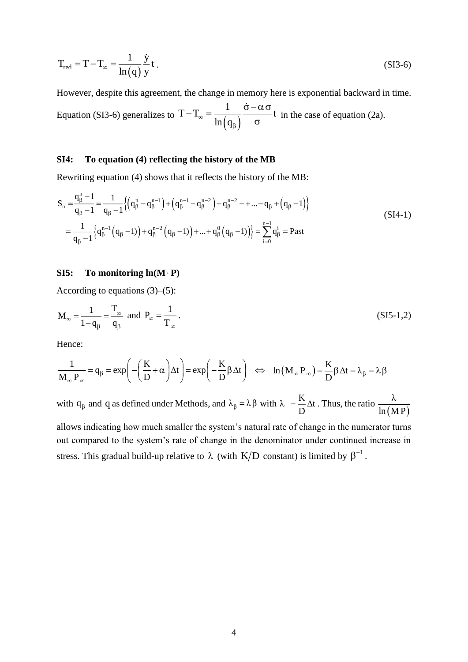$$
T_{\text{red}} = T - T_{\infty} = \frac{1}{\ln(q)} \frac{\dot{y}}{y} t \tag{SI3-6}
$$

However, despite this agreement, the change in memory here is exponential backward in time. Equation (SI3-6) generalizes to  $T - T_{\infty} = \frac{1}{\ln(q_{\beta})}$ 1  $T - T_{\infty} = \frac{1}{\ln(q_{\beta})} \frac{1}{\sigma}$  $-\mathcal{T}_{\infty} = \frac{1}{\sqrt{2\pi}} \frac{\sigma - \alpha \sigma}{\sigma}$  $\frac{1}{\sigma}$  t in the case of equation (2a).

## **SI4: To equation (4) reflecting the history of the MB**

Rewriting equation (4) shows that it reflects the history of the MB:

$$
S_{n} = \frac{q_{\beta}^{n} - 1}{q_{\beta} - 1} = \frac{1}{q_{\beta} - 1} \left\{ \left( q_{\beta}^{n} - q_{\beta}^{n-1} \right) + \left( q_{\beta}^{n-1} - q_{\beta}^{n-2} \right) + q_{\beta}^{n-2} - + \dots - q_{\beta} + \left( q_{\beta} - 1 \right) \right\}
$$
\n
$$
= \frac{1}{q_{\beta} - 1} \left\{ q_{\beta}^{n-1} \left( q_{\beta} - 1 \right) + q_{\beta}^{n-2} \left( q_{\beta} - 1 \right) + \dots + q_{\beta}^{0} \left( q_{\beta} - 1 \right) \right\} = \sum_{i=0}^{n-1} q_{\beta}^{i} = \text{Fast}
$$
\n(SI4-1)

#### **SI5: To monitoring ln(M P)**

According to equations (3)–(5):

$$
M_{\infty} = \frac{1}{1 - q_{\beta}} = \frac{T_{\infty}}{q_{\beta}} \text{ and } P_{\infty} = \frac{1}{T_{\infty}}.
$$
 (SI5-1,2)

Hence:

$$
\frac{1}{M_{\infty} P_{\infty}} = q_{\beta} = \exp\left(-\left(\frac{K}{D} + \alpha\right)\Delta t\right) = \exp\left(-\frac{K}{D}\beta\Delta t\right) \iff \ln\left(M_{\infty} P_{\infty}\right) = \frac{K}{D}\beta\Delta t = \lambda_{\beta} = \lambda\beta
$$

with  $q_{\beta}$  and q as defined under Methods, and  $\lambda_{\beta} = \lambda \beta$  with  $\lambda = \frac{K}{D} \Delta t$ D  $\lambda = \frac{R}{n} \Delta t$ . Thus, the ratio  $ln(M P)$ λ

allows indicating how much smaller the system's natural rate of change in the numerator turns out compared to the system's rate of change in the denominator under continued increase in stress. This gradual build-up relative to  $\lambda$  (with K/D constant) is limited by  $\beta^{-1}$ .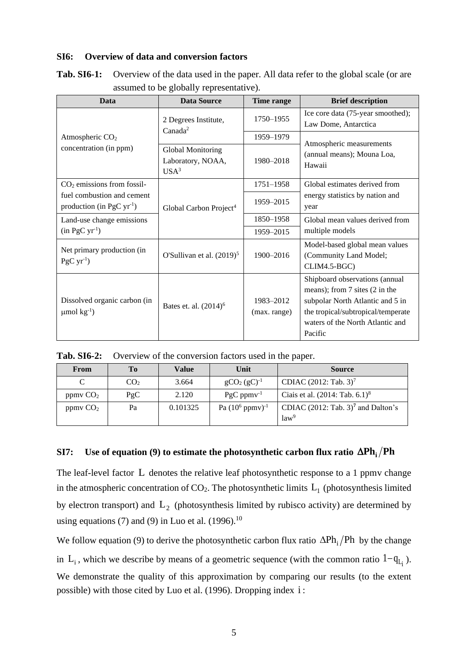### **SI6: Overview of data and conversion factors**

| Data                                                                       | <b>Data Source</b>                                                | Time range                | <b>Brief description</b>                                                                                                                                                                  |
|----------------------------------------------------------------------------|-------------------------------------------------------------------|---------------------------|-------------------------------------------------------------------------------------------------------------------------------------------------------------------------------------------|
|                                                                            | 2 Degrees Institute,<br>Canada <sup>2</sup>                       | 1750-1955                 | Ice core data (75-year smoothed);<br>Law Dome, Antarctica                                                                                                                                 |
| Atmospheric CO <sub>2</sub>                                                |                                                                   | 1959-1979                 | Atmospheric measurements                                                                                                                                                                  |
| concentration (in ppm)                                                     | <b>Global Monitoring</b><br>Laboratory, NOAA,<br>USA <sup>3</sup> | 1980-2018                 | (annual means); Mouna Loa,<br>Hawaii                                                                                                                                                      |
| $CO2$ emissions from fossil-                                               |                                                                   | 1751-1958                 | Global estimates derived from                                                                                                                                                             |
| fuel combustion and cement<br>production (in PgC $yr^{-1}$ )               | Global Carbon Project <sup>4</sup>                                | 1959-2015                 | energy statistics by nation and<br>year                                                                                                                                                   |
| Land-use change emissions                                                  |                                                                   | 1850-1958                 | Global mean values derived from                                                                                                                                                           |
| $(in PgC yr-1)$                                                            |                                                                   | 1959-2015                 | multiple models                                                                                                                                                                           |
| Net primary production (in<br>O'Sullivan et al. $(2019)^5$<br>$PgCyr^{-1}$ |                                                                   | 1900-2016                 | Model-based global mean values<br>(Community Land Model;<br>CLIM4.5-BGC)                                                                                                                  |
| Dissolved organic carbon (in<br>$\mu$ mol kg <sup>-1</sup> )               | Bates et. al. (2014) <sup>6</sup>                                 | 1983-2012<br>(max. range) | Shipboard observations (annual<br>means); from 7 sites (2 in the<br>subpolar North Atlantic and 5 in<br>the tropical/subtropical/temperate<br>waters of the North Atlantic and<br>Pacific |

**Tab. SI6-1:** Overview of the data used in the paper. All data refer to the global scale (or are assumed to be globally representative).

**Tab. SI6-2:** Overview of the conversion factors used in the paper.

| From                 | To              | <b>Value</b> | Unit                          | <b>Source</b>                                                        |
|----------------------|-----------------|--------------|-------------------------------|----------------------------------------------------------------------|
|                      | CO <sub>2</sub> | 3.664        | $gCO_2(gC)^{-1}$              | CDIAC (2012: Tab. 3) <sup>7</sup>                                    |
| ppmvCO <sub>2</sub>  | PgC             | 2.120        | $PgC$ ppm $v^{-1}$            | Ciais et al. $(2014: \text{Tab. } 6.1)^8$                            |
| ppmv CO <sub>2</sub> | Pa              | 0.101325     | Pa $(10^6 \text{ ppmv})^{-1}$ | CDIAC $(2012:$ Tab. 3) <sup>7</sup> and Dalton's<br>law <sup>9</sup> |

# $\textbf{S17:}\quad$  Use of equation (9) to estimate the photosynthetic carbon flux ratio  $\Delta \textbf{Ph}_{\text{i}} / \textbf{Ph}$

The leaf-level factor L denotes the relative leaf photosynthetic response to a 1 ppmv change in the atmospheric concentration of CO<sub>2</sub>. The photosynthetic limits  $L_1$  (photosynthesis limited by electron transport) and  $L_2$  (photosynthesis limited by rubisco activity) are determined by using equations (7) and (9) in Luo et al. (1996).<sup>10</sup>

We follow equation (9) to derive the photosynthetic carbon flux ratio  $\Delta Ph_i/Ph$  by the change in  $L_i$ , which we describe by means of a geometric sequence (with the common ratio  $1-q_{L_i}$ ). We demonstrate the quality of this approximation by comparing our results (to the extent possible) with those cited by Luo et al. (1996). Dropping index i: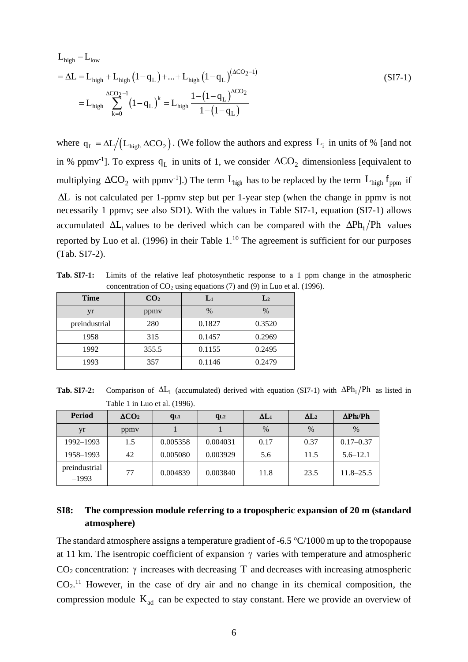$$
L_{\text{high}} - L_{\text{low}}
$$
  
=  $\Delta L = L_{\text{high}} + L_{\text{high}} (1 - q_L) + ... + L_{\text{high}} (1 - q_L)^{(\Delta CO_2 - 1)}$   
=  $L_{\text{high}} \sum_{k=0}^{\Delta CO_2 - 1} (1 - q_L)^k = L_{\text{high}} \frac{1 - (1 - q_L)^{\Delta CO_2}}{1 - (1 - q_L)}$  (SI7-1)

where  $q_L = \Delta L / (L_{high} \Delta CO_2)$ . (We follow the authors and express  $L_i$  in units of % [and not in % ppmv<sup>-1</sup>]. To express  $q_L$  in units of 1, we consider  $\Delta CO_2$  dimensionless [equivalent to multiplying  $\Delta CO_2$  with ppmv<sup>-1</sup>].) The term  $L_{high}$  has to be replaced by the term  $L_{high}$  f<sub>ppm</sub> if L is not calculated per 1-ppmv step but per 1-year step (when the change in ppmv is not necessarily 1 ppmv; see also SD1). With the values in Table SI7-1, equation (SI7-1) allows accumulated  $\Delta L_i$  values to be derived which can be compared with the  $\Delta Ph_i/Ph$  values reported by Luo et al. (1996) in their Table  $1.^{10}$  The agreement is sufficient for our purposes (Tab. SI7-2).

**Tab. SI7-1:** Limits of the relative leaf photosynthetic response to a 1 ppm change in the atmospheric concentration of  $CO<sub>2</sub>$  using equations (7) and (9) in Luo et al. (1996).

| <b>Time</b>   | CO <sub>2</sub> | $L_1$  | L <sub>2</sub> |
|---------------|-----------------|--------|----------------|
| yr            | ppmy            | $\%$   | $\%$           |
| preindustrial | 280             | 0.1827 | 0.3520         |
| 1958          | 315             | 0.1457 | 0.2969         |
| 1992          | 355.5           | 0.1155 | 0.2495         |
| 1993          | 357             | 0.1146 | 0.2479         |

**Tab. SI7-2:** Comparison of  $\Delta L_i$  (accumulated) derived with equation (SI7-1) with  $\Delta Ph_i/Ph$  as listed in Table 1 in Luo et al. (1996).

| <b>Period</b>            | $\Delta CO2$ | $q_{L1}$ | $q_{L2}$ | $\Delta L_1$ | $\Delta L_2$  | $\Delta$ Ph <sub>i</sub> /Ph |
|--------------------------|--------------|----------|----------|--------------|---------------|------------------------------|
| yr                       | ppmy         |          |          | $\%$         | $\frac{0}{0}$ | $\frac{0}{0}$                |
| 1992–1993                | 1.5          | 0.005358 | 0.004031 | 0.17         | 0.37          | $0.17 - 0.37$                |
| 1958-1993                | 42           | 0.005080 | 0.003929 | 5.6          | 11.5          | $5.6 - 12.1$                 |
| preindustrial<br>$-1993$ | 77           | 0.004839 | 0.003840 | 11.8         | 23.5          | $11.8 - 25.5$                |

## **SI8: The compression module referring to a tropospheric expansion of 20 m (standard atmosphere)**

The standard atmosphere assigns a temperature gradient of -6.5 °C/1000 m up to the tropopause at 11 km. The isentropic coefficient of expansion  $\gamma$  varies with temperature and atmospheric CO<sub>2</sub> concentration:  $\gamma$  increases with decreasing T and decreases with increasing atmospheric  $CO<sub>2</sub>$ .<sup>11</sup> However, in the case of dry air and no change in its chemical composition, the compression module  $K_{ad}$  can be expected to stay constant. Here we provide an overview of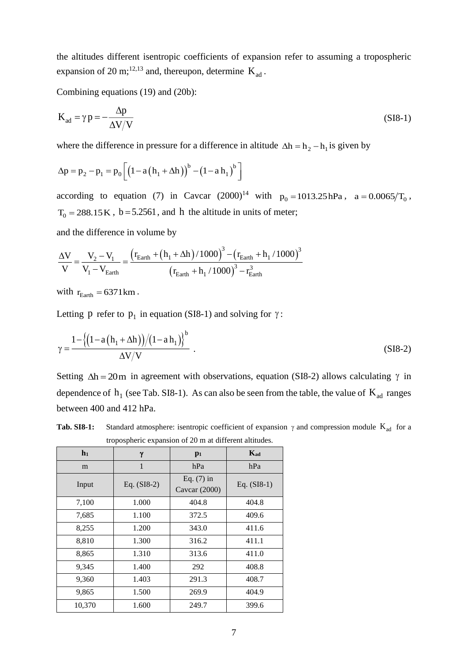the altitudes different isentropic coefficients of expansion refer to assuming a tropospheric expansion of 20 m;<sup>12,13</sup> and, thereupon, determine  $K_{ad}$ .

Combining equations (19) and (20b):

$$
K_{ad} = \gamma p = -\frac{\Delta p}{\Delta V/V}
$$
 (S18-1)

where the difference in pressure for a difference in altitude  $\Delta h = h_2 - h_1$  is given by

$$
\Delta p = p_2 - p_1 = p_0 \left[ \left( 1 - a \left( h_1 + \Delta h \right) \right)^b - \left( 1 - a \, h_1 \right)^b \right]
$$

according to equation (7) in Cavcar  $(2000)^{14}$  with  $p_0 = 1013.25 \text{ hPa}$ ,  $a = 0.0065/T_0$ ,  $T_0 = 288.15 \text{ K}$ , b = 5.2561, and h the altitude in units of meter;

and the difference in volume by

$$
\frac{\Delta V}{V} = \frac{V_2 - V_1}{V_1 - V_{Earth}} = \frac{\left(r_{Earth} + \left(h_1 + \Delta h\right)/1000\right)^3 - \left(r_{Earth} + h_1/1000\right)^3}{\left(r_{Earth} + h_1/1000\right)^3 - r_{Earth}^3}
$$

with  $r_{\text{Earth}} = 6371 \text{ km}$ .

Letting p refer to  $p_1$  in equation (SI8-1) and solving for  $\gamma$ :

$$
\gamma = \frac{1 - \{(1 - a(h_1 + \Delta h))/(1 - a h_1)\}^b}{\Delta V/V} \tag{SIS-2}
$$

Setting  $\Delta h = 20$ m in agreement with observations, equation (SI8-2) allows calculating  $\gamma$  in dependence of  $h_1$  (see Tab. SI8-1). As can also be seen from the table, the value of  $K_{ad}$  ranges between 400 and 412 hPa.

**Tab. SI8-1:** Standard atmosphere: isentropic coefficient of expansion  $\gamma$  and compression module  $K_{ad}$  for a tropospheric expansion of 20 m at different altitudes.

| a opospheric expansion or 20 m at unicrem annuales. |               |                               |               |  |
|-----------------------------------------------------|---------------|-------------------------------|---------------|--|
| $\mathbf{h}_1$                                      | γ             | $p_1$                         | Kad           |  |
| m                                                   | $\mathbf{1}$  | hPa                           | hPa           |  |
| Input                                               | Eq. $(SI8-2)$ | Eq. $(7)$ in<br>Cavcar (2000) | Eq. $(SI8-1)$ |  |
| 7,100                                               | 1.000         | 404.8                         | 404.8         |  |
| 7,685                                               | 1.100         | 372.5                         | 409.6         |  |
| 8,255                                               | 1.200         | 343.0                         | 411.6         |  |
| 8,810                                               | 1.300         | 316.2                         | 411.1         |  |
| 8,865                                               | 1.310         | 313.6                         | 411.0         |  |
| 9,345                                               | 1.400         | 292                           | 408.8         |  |
| 9,360                                               | 1.403         | 291.3                         | 408.7         |  |
| 9,865                                               | 1.500         | 269.9                         | 404.9         |  |
| 10,370                                              | 1.600         | 249.7                         | 399.6         |  |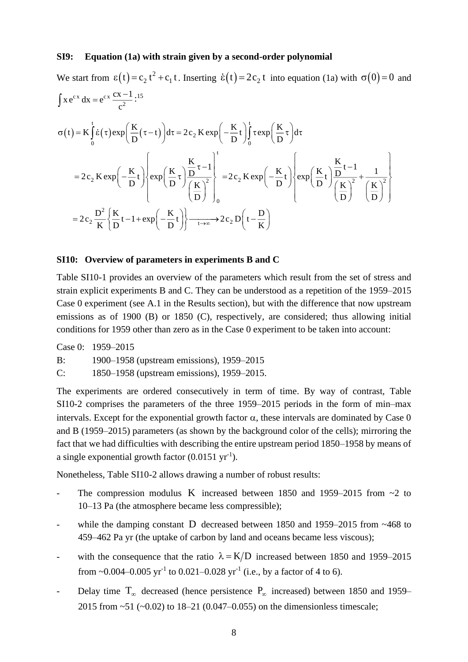#### **SI9: Equation (1a) with strain given by a second-order polynomial**

We start from 
$$
\varepsilon(t) = c_2 t^2 + c_1 t
$$
. Inserting  $\dot{\varepsilon}(t) = 2c_2 t$  into equation (1a) with  $\sigma(0) = 0$  and  
\n
$$
\int x e^{cx} dx = e^{cx} \frac{cx - 1}{c^2} : ^{15}
$$
\n
$$
\sigma(t) = K \int_0^t \dot{\varepsilon}(\tau) exp\left(\frac{K}{D}(\tau - t)\right) d\tau = 2c_2 K exp\left(-\frac{K}{D}t\right) \int_0^t \tau exp\left(\frac{K}{D}\tau\right) d\tau
$$
\n
$$
= 2c_2 K exp\left(-\frac{K}{D}t\right) \left\{ exp\left(\frac{K}{D}\tau\right) \frac{\frac{K}{D}\tau - 1}{\left(\frac{K}{D}\right)^2} \right\} = 2c_2 K exp\left(-\frac{K}{D}t\right) \left\{ exp\left(\frac{K}{D}t\right) \frac{\frac{K}{D}t - 1}{\left(\frac{K}{D}\right)^2} + \frac{1}{\left(\frac{K}{D}\right)^2} \right\}
$$
\n
$$
= 2c_2 \frac{D^2}{K} \left\{ \frac{K}{D} t - 1 + exp\left(-\frac{K}{D}t\right) \right\} \xrightarrow[t \to \infty]{} 2c_2 D\left(t - \frac{D}{K}\right)
$$

#### **SI10: Overview of parameters in experiments B and C**

Table SI10-1 provides an overview of the parameters which result from the set of stress and strain explicit experiments B and C. They can be understood as a repetition of the 1959–2015 Case 0 experiment (see A.1 in the Results section), but with the difference that now upstream emissions as of 1900 (B) or 1850 (C), respectively, are considered; thus allowing initial conditions for 1959 other than zero as in the Case 0 experiment to be taken into account:

Case 0: 1959–2015 B: 1900–1958 (upstream emissions), 1959–2015 C: 1850–1958 (upstream emissions), 1959–2015.

The experiments are ordered consecutively in term of time. By way of contrast, Table SI10-2 comprises the parameters of the three 1959–2015 periods in the form of min–max intervals. Except for the exponential growth factor  $\alpha$ , these intervals are dominated by Case 0 and B (1959–2015) parameters (as shown by the background color of the cells); mirroring the fact that we had difficulties with describing the entire upstream period 1850–1958 by means of a single exponential growth factor  $(0.0151 \text{ yr}^{-1})$ .

Nonetheless, Table SI10-2 allows drawing a number of robust results:

- The compression modulus K increased between 1850 and 1959–2015 from ~2 to 10–13 Pa (the atmosphere became less compressible);
- while the damping constant D decreased between 1850 and 1959–2015 from ~468 to 459–462 Pa yr (the uptake of carbon by land and oceans became less viscous);
- with the consequence that the ratio  $\lambda = K/D$  increased between 1850 and 1959–2015 from ~0.004–0.005  $yr^{-1}$  to 0.021–0.028  $yr^{-1}$  (i.e., by a factor of 4 to 6).
- Delay time  $T_{\infty}$  decreased (hence persistence  $P_{\infty}$  increased) between 1850 and 1959– 2015 from ~51 (~0.02) to 18–21 (0.047–0.055) on the dimensionless timescale;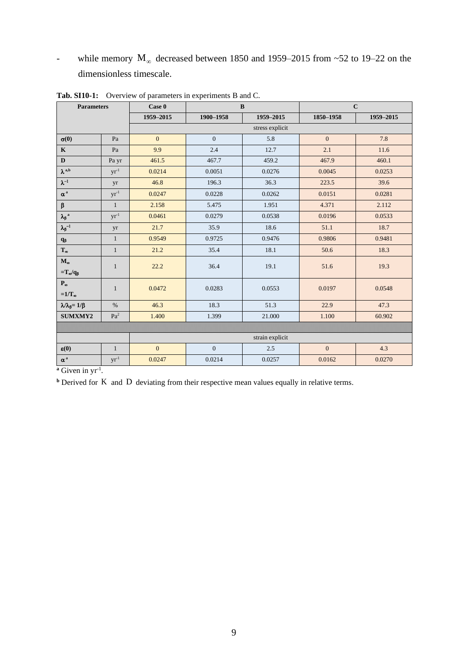- while memory  $M_{\infty}$  decreased between 1850 and 1959–2015 from ~52 to 19–22 on the dimensionless timescale.

| <b>Parameters</b>                    |                 | Case 0          | $\bf{B}$       |           |                | $\mathbf C$ |  |
|--------------------------------------|-----------------|-----------------|----------------|-----------|----------------|-------------|--|
|                                      |                 | 1959-2015       | 1900-1958      | 1959-2015 | 1850-1958      | 1959-2015   |  |
|                                      |                 | stress explicit |                |           |                |             |  |
| $\sigma(0)$                          | Pa              | $\overline{0}$  | $\overline{0}$ | 5.8       | $\overline{0}$ | 7.8         |  |
| $\mathbf K$                          | Pa              | 9.9             | 2.4            | 12.7      | 2.1            | 11.6        |  |
| D                                    | Pa yr           | 461.5           | 467.7          | 459.2     | 467.9          | 460.1       |  |
| $\pmb{\lambda}^{\,\mathrm{a,b}}$     | $yr^{-1}$       | 0.0214          | 0.0051         | 0.0276    | 0.0045         | 0.0253      |  |
| $\lambda^{-1}$                       | yr              | 46.8            | 196.3          | 36.3      | 223.5          | 39.6        |  |
| $\alpha$ $^{\rm a}$                  | $yr^{-1}$       | 0.0247          | 0.0228         | 0.0262    | 0.0151         | 0.0281      |  |
| $\boldsymbol{\beta}$                 | $\mathbf{1}$    | 2.158           | 5.475          | 1.951     | 4.371          | 2.112       |  |
| $\lambda_{\beta}{}^{\rm a}$          | $yr^{-1}$       | 0.0461          | 0.0279         | 0.0538    | 0.0196         | 0.0533      |  |
| $\lambda_{\beta}^{-1}$               | yr              | 21.7            | 35.9           | 18.6      | 51.1           | 18.7        |  |
| $\mathbf{q}_{\boldsymbol{\beta}}$    | $\mathbf{1}$    | 0.9549          | 0.9725         | 0.9476    | 0.9806         | 0.9481      |  |
| $\mathbf{T}_\infty$                  | $\mathbf{1}$    | 21.2            | 35.4           | 18.1      | 50.6           | 18.3        |  |
| $\mathbf{M}_{\boldsymbol{\infty}}$   | $\mathbf{1}$    | 22.2            | 36.4           | 19.1      | 51.6           | 19.3        |  |
| $=T_{\infty}/q_{\beta}$              |                 |                 |                |           |                |             |  |
| $P_{\infty}$                         | $\mathbf{1}$    | 0.0472          | 0.0283         | 0.0553    | 0.0197         | 0.0548      |  |
| $=1/T_{\infty}$                      |                 |                 |                |           |                |             |  |
| $\lambda/\lambda_{\beta} = 1/\beta$  | $\%$            | 46.3            | 18.3           | 51.3      | 22.9           | 47.3        |  |
| SUMXMY2                              | $\mathrm{Pa}^2$ | 1.400           | 1.399          | 21.000    | 1.100          | 60.902      |  |
|                                      |                 |                 |                |           |                |             |  |
|                                      |                 | strain explicit |                |           |                |             |  |
| $\varepsilon(0)$                     | $\mathbf{1}$    | $\overline{0}$  | $\overline{0}$ | 2.5       | $\overline{0}$ | 4.3         |  |
| $\alpha^{\,\rm a}$<br>$-1$<br>$\sim$ | $yr^{-1}$       | 0.0247          | 0.0214         | 0.0257    | 0.0162         | 0.0270      |  |

**Tab. SI10-1:** Overview of parameters in experiments B and C.

<sup>a</sup> Given in yr<sup>-1</sup>.

**b** Derived for K and D deviating from their respective mean values equally in relative terms.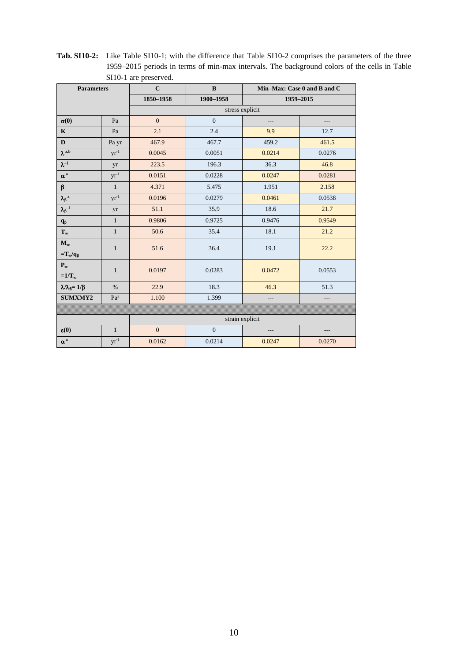| <b>Parameters</b>                   |                 | $\mathbf{C}$    | $\bf{B}$       | Min-Max: Case 0 and B and C |           |
|-------------------------------------|-----------------|-----------------|----------------|-----------------------------|-----------|
|                                     |                 | 1850-1958       | 1900-1958      |                             | 1959-2015 |
|                                     |                 | stress explicit |                |                             |           |
| $\sigma(0)$                         | Pa              | $\overline{0}$  | $\overline{0}$ | ---                         | $---$     |
| $\mathbf K$                         | Pa              | 2.1             | 2.4            | 9.9                         | 12.7      |
| $\mathbf D$                         | Pa yr           | 467.9           | 467.7          | 459.2                       | 461.5     |
| $\pmb{\lambda}^{\,\mathrm{a,b}}$    | $yr^{-1}$       | 0.0045          | 0.0051         | 0.0214                      | 0.0276    |
| $\lambda^{-1}$                      | yr              | 223.5           | 196.3          | 36.3                        | 46.8      |
| $\alpha^{\,\rm a}$                  | $yr^{-1}$       | 0.0151          | 0.0228         | 0.0247                      | 0.0281    |
| β                                   | $\mathbf{1}$    | 4.371           | 5.475          | 1.951                       | 2.158     |
| $\lambda_{\beta}{}^{\rm a}$         | $yr^{-1}$       | 0.0196          | 0.0279         | 0.0461                      | 0.0538    |
| $\lambda_{\beta}^{-1}$              | yr              | 51.1            | 35.9           | 18.6                        | 21.7      |
| $\mathbf{q}_{\boldsymbol{\beta}}$   | $\mathbf{1}$    | 0.9806          | 0.9725         | 0.9476                      | 0.9549    |
| $\mathbf{T}_{\infty}$               | $\mathbf{1}$    | 50.6            | 35.4           | 18.1                        | 21.2      |
| $M_{\infty}$                        | $\mathbf{1}$    | 51.6            | 36.4           | 19.1                        | 22.2      |
| $=T_\infty/q_\beta$                 |                 |                 |                |                             |           |
| $\mathbf{P}_{\infty}$               | $\mathbf{1}$    | 0.0197          | 0.0283         | 0.0472                      | 0.0553    |
| $=1/T_{\infty}$                     |                 |                 |                |                             |           |
| $\lambda/\lambda_{\beta} = 1/\beta$ | $\frac{0}{0}$   | 22.9            | 18.3           | 46.3                        | 51.3      |
| <b>SUMXMY2</b>                      | Pa <sup>2</sup> | 1.100           | 1.399          | $---$                       | $---$     |
|                                     |                 |                 |                |                             |           |
|                                     |                 | strain explicit |                |                             |           |
| $\varepsilon(0)$                    | $\mathbf{1}$    | $\mathbf{0}$    | $\mathbf{0}$   | $---$                       | ---       |
| $\alpha$ $^{\rm a}$                 | $yr^{-1}$       | 0.0162          | 0.0214         | 0.0247                      | 0.0270    |

**Tab. SI10-2:** Like Table SI10-1; with the difference that Table SI10-2 comprises the parameters of the three 1959–2015 periods in terms of min-max intervals. The background colors of the cells in Table SI10-1 are preserved.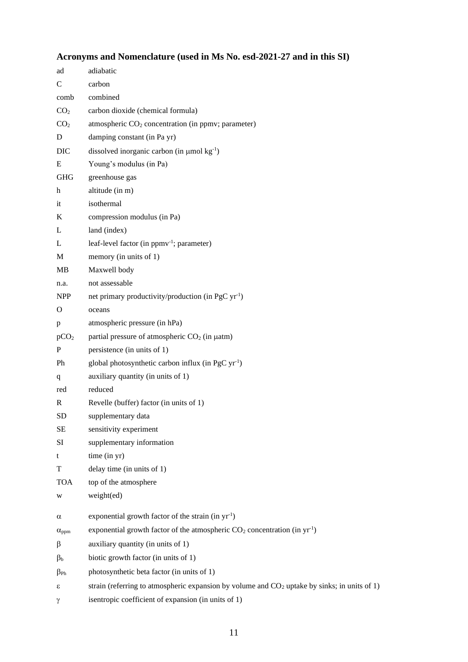# **Acronyms and Nomenclature (used in Ms No. esd-2021-27 and in this SI)**

| ad                        | adiabatic                                                                                      |
|---------------------------|------------------------------------------------------------------------------------------------|
| $\mathsf{C}$              | carbon                                                                                         |
| comb                      | combined                                                                                       |
| CO <sub>2</sub>           | carbon dioxide (chemical formula)                                                              |
| CO <sub>2</sub>           | atmospheric CO <sub>2</sub> concentration (in ppmv; parameter)                                 |
| D                         | damping constant (in Pa yr)                                                                    |
| <b>DIC</b>                | dissolved inorganic carbon (in $\mu$ mol kg <sup>-1</sup> )                                    |
| E                         | Young's modulus (in Pa)                                                                        |
| <b>GHG</b>                | greenhouse gas                                                                                 |
| $\boldsymbol{\mathrm{h}}$ | altitude (in m)                                                                                |
| it                        | isothermal                                                                                     |
| K                         | compression modulus (in Pa)                                                                    |
| L                         | land (index)                                                                                   |
| L                         | leaf-level factor (in ppmv <sup>-1</sup> ; parameter)                                          |
| M                         | memory (in units of 1)                                                                         |
| MB                        | Maxwell body                                                                                   |
| n.a.                      | not assessable                                                                                 |
| <b>NPP</b>                | net primary productivity/production (in PgC yr <sup>-1</sup> )                                 |
| $\Omega$                  | oceans                                                                                         |
| p                         | atmospheric pressure (in hPa)                                                                  |
| pCO <sub>2</sub>          | partial pressure of atmospheric $CO2$ (in $\mu$ atm)                                           |
| $\mathbf{P}$              | persistence (in units of 1)                                                                    |
| Ph                        | global photosynthetic carbon influx (in PgC yr <sup>-1</sup> )                                 |
| q                         | auxiliary quantity (in units of 1)                                                             |
| red                       | reduced                                                                                        |
| $\mathbf R$               | Revelle (buffer) factor (in units of 1)                                                        |
| <b>SD</b>                 | supplementary data                                                                             |
| SE                        | sensitivity experiment                                                                         |
| SI                        | supplementary information                                                                      |
| t                         | time (in yr)                                                                                   |
| T                         | delay time (in units of 1)                                                                     |
| <b>TOA</b>                | top of the atmosphere                                                                          |
| W                         | weight(ed)                                                                                     |
| α                         | exponential growth factor of the strain (in $yr^{-1}$ )                                        |
| $\alpha_{\text{ppm}}$     | exponential growth factor of the atmospheric $CO_2$ concentration (in yr <sup>1</sup> )        |
| β                         | auxiliary quantity (in units of 1)                                                             |
| $\beta_{\rm b}$           | biotic growth factor (in units of 1)                                                           |
| $\beta_{\rm Ph}$          | photosynthetic beta factor (in units of 1)                                                     |
| ε                         | strain (referring to atmospheric expansion by volume and $CO2$ uptake by sinks; in units of 1) |
| γ                         | isentropic coefficient of expansion (in units of 1)                                            |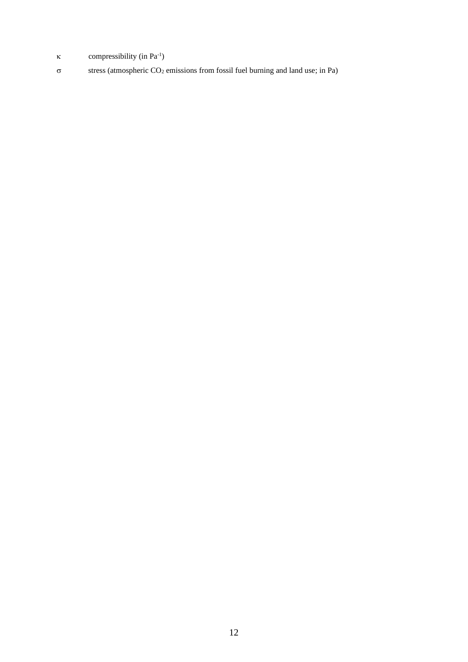- $\kappa$  compressibility (in Pa<sup>-1</sup>)
- $\sigma$  stress (atmospheric CO<sub>2</sub> emissions from fossil fuel burning and land use; in Pa)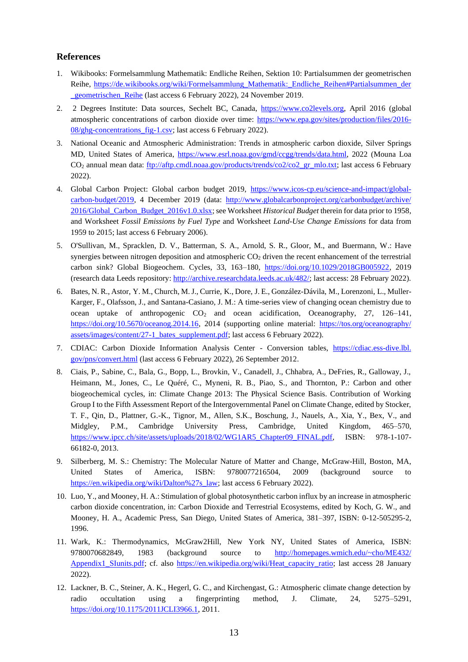#### **References**

- 1. Wikibooks: Formelsammlung Mathematik: Endliche Reihen, Sektion 10: Partialsummen der geometrischen Reihe, [https://de.wikibooks.org/wiki/Formelsammlung\\_Mathematik:\\_Endliche\\_Reihen#Partialsummen\\_der](https://de.wikibooks.org/wiki/Formelsammlung_Mathematik:_Endliche_Reihen#Partialsummen_der_geometrischen_Reihe) geometrischen Reihe (last access 6 February 2022), 24 November 2019.
- 2. 2 Degrees Institute: Data sources, Sechelt BC, Canada, [https://www.co2levels.org,](https://www.co2levels.org/#sources) April 2016 (global atmospheric concentrations of carbon dioxide over time: [https://www.epa.gov/sites/production/files/2016-](https://www.epa.gov/sites/production/files/2016-08/ghg-concentrations_fig-1.csv) [08/ghg-concentrations\\_fig-1.csv;](https://www.epa.gov/sites/production/files/2016-08/ghg-concentrations_fig-1.csv) last access 6 February 2022).
- 3. National Oceanic and Atmospheric Administration: Trends in atmospheric carbon dioxide, Silver Springs MD, United States of America, [https://www.esrl.noaa.gov/gmd/ccgg/trends/data.html,](https://www.esrl.noaa.gov/gmd/ccgg/trends/data.html) 2022 (Mouna Loa CO<sub>2</sub> annual mean data: [ftp://aftp.cmdl.noaa.gov/products/trends/co2/co2\\_gr\\_mlo.txt;](ftp://aftp.cmdl.noaa.gov/products/trends/co2/co2_gr_mlo.txt) last access 6 February 2022).
- 4. Global Carbon Project: Global carbon budget 2019, [https://www.icos-cp.eu/science-and-impact/global](https://www.icos-cp.eu/science-and-impact/global-carbon-budget/2019)[carbon-budget/2019,](https://www.icos-cp.eu/science-and-impact/global-carbon-budget/2019) 4 December 2019 (data: [http://www.globalcarbonproject.org/carbonbudget/archive/](http://www.globalcarbonproject.org/carbonbudget/archive/2016/Global_Carbon_Budget_2016v1.0.xlsx) [2016/Global\\_Carbon\\_Budget\\_2016v1.0.xlsx;](http://www.globalcarbonproject.org/carbonbudget/archive/2016/Global_Carbon_Budget_2016v1.0.xlsx) see Worksheet *Historical Budget* therein for data prior to 1958, and Worksheet *Fossil Emissions by Fuel Type* and Worksheet *Land-Use Change Emissions* for data from 1959 to 2015; last access 6 February 2006).
- 5. O'Sullivan, M., Spracklen, D. V., Batterman, S. A., Arnold, S. R., Gloor, M., and Buermann, W.: Have synergies between nitrogen deposition and atmospheric  $CO<sub>2</sub>$  driven the recent enhancement of the terrestrial carbon sink? Global Biogeochem. Cycles, 33, 163–180, [https://doi.org/10.1029/2018GB005922,](https://doi.org/10.1029/2018GB005922) 2019 (research data Leeds repository[: http://archive.researchdata.leeds.ac.uk/482/;](http://archive.researchdata.leeds.ac.uk/482/) last access: 28 February 2022).
- 6. Bates, N. R., Astor, Y. M., Church, M.J., Currie, K., Dore, J. E., González-Dávila, M., Lorenzoni, L., Muller-Karger, F., Olafsson, J., and Santana-Casiano, J. M.: A time-series view of changing ocean chemistry due to ocean uptake of anthropogenic  $CO<sub>2</sub>$  and ocean acidification, Oceanography, 27, 126–141, [https://doi.org/10.5670/oceanog.2014.16,](https://doi.org/10.5670/oceanog.2014.16) 2014 (supporting online material: [https://tos.org/oceanography/](https://tos.org/oceanography/assets/images/content/27-1_bates_supplement.pdf) [assets/images/content/27-1\\_bates\\_supplement.pdf;](https://tos.org/oceanography/assets/images/content/27-1_bates_supplement.pdf) last access 6 February 2022).
- 7. CDIAC: Carbon Dioxide Information Analysis Center Conversion tables, [https://cdiac.ess-dive.lbl.](https://cdiac.ess-dive.lbl.gov/pns/convert.html) [gov/pns/convert.html](https://cdiac.ess-dive.lbl.gov/pns/convert.html) (last access 6 February 2022), 26 September 2012.
- 8. Ciais, P., Sabine, C., Bala, G., Bopp, L., Brovkin, V., Canadell, J., Chhabra, A., DeFries, R., Galloway, J., Heimann, M., Jones, C., Le Quéré, C., Myneni, R. B., Piao, S., and Thornton, P.: Carbon and other biogeochemical cycles, in: Climate Change 2013: The Physical Science Basis. Contribution of Working Group I to the Fifth Assessment Report of the Intergovernmental Panel on Climate Change, edited by Stocker, T. F., Qin, D., Plattner, G.-K., Tignor, M., Allen, S.K., Boschung, J., Nauels, A., Xia, Y., Bex, V., and Midgley, P.M., Cambridge University Press, Cambridge, United Kingdom, 465–570, [https://www.ipcc.ch/site/assets/uploads/2018/02/WG1AR5\\_Chapter09\\_FINAL.pdf,](https://www.ipcc.ch/site/assets/uploads/2018/02/WG1AR5_Chapter09_FINAL.pdf) ISBN: 978-1-107- 66182-0, 2013.
- 9. Silberberg, M. S.: Chemistry: The Molecular Nature of Matter and Change, McGraw-Hill, Boston, MA, United States of America, ISBN: 9780077216504, 2009 (background source to [https://en.wikipedia.org/wiki/Dalton%27s\\_law;](https://en.wikipedia.org/wiki/Dalton%27s_law) last access 6 February 2022).
- 10. Luo, Y., and Mooney, H. A.: Stimulation of global photosynthetic carbon influx by an increase in atmospheric carbon dioxide concentration, in: Carbon Dioxide and Terrestrial Ecosystems, edited by Koch, G. W., and Mooney, H. A., Academic Press, San Diego, United States of America, 381–397, ISBN: 0-12-505295-2, 1996.
- 11. Wark, K.: Thermodynamics, McGraw2Hill, New York NY, United States of America, ISBN: 9780070682849, 1983 (background source to [http://homepages.wmich.edu/~cho/ME432/](http://homepages.wmich.edu/~cho/ME432/Appendix1_SIunits.pdf) [Appendix1\\_SIunits.pdf;](http://homepages.wmich.edu/~cho/ME432/Appendix1_SIunits.pdf) cf. also [https://en.wikipedia.org/wiki/Heat\\_capacity\\_ratio;](https://en.wikipedia.org/wiki/Heat_capacity_ratio) last access 28 January 2022).
- 12. Lackner, B. C., Steiner, A. K., Hegerl, G. C., and Kirchengast, G.: Atmospheric climate change detection by radio occultation using a fingerprinting method, J. Climate, 24, 5275–5291, [https://doi.org/10.1175/2011JCLI3966.1,](https://doi.org/10.1175/2011JCLI3966.1) 2011.